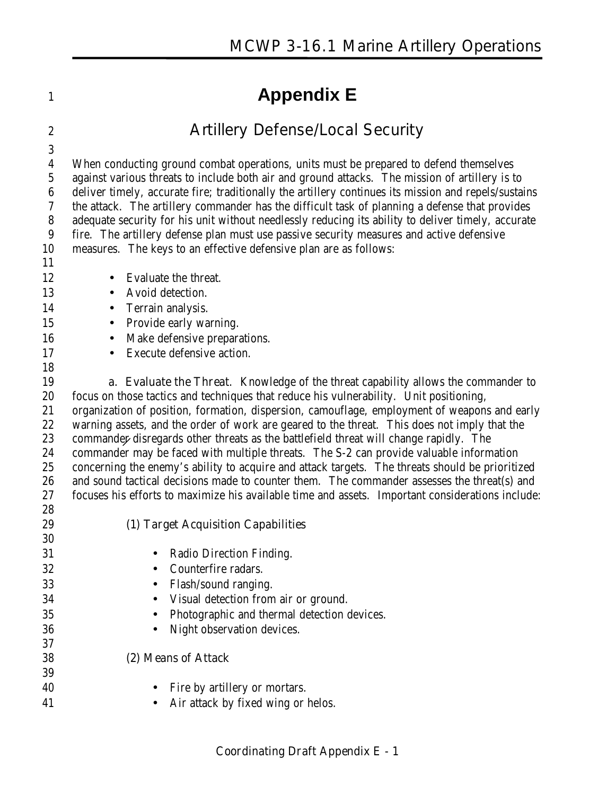# **Appendix E**

## **Artillery Defense/Local Security**

 When conducting ground combat operations, units must be prepared to defend themselves against various threats to include both air and ground attacks. The mission of artillery is to deliver timely, accurate fire; traditionally the artillery continues its mission and repels/sustains the attack. The artillery commander has the difficult task of planning a defense that provides adequate security for his unit without needlessly reducing its ability to deliver timely, accurate fire. The artillery defense plan must use passive security measures and active defensive measures. The keys to an effective defensive plan are as follows: 12 • Evaluate the threat. 13 • Avoid detection. 14 • Terrain analysis. 15 • Provide early warning. 16 • Make defensive preparations. 17 • Execute defensive action. **a. Evaluate the Threat**. Knowledge of the threat capability allows the commander to focus on those tactics and techniques that reduce his vulnerability. Unit positioning, organization of position, formation, dispersion, camouflage, employment of weapons and early warning assets, and the order of work are geared to the threat. This does not imply that the commander disregards other threats as the battlefield threat will change rapidly. The commander may be faced with multiple threats. The S-2 can provide valuable information concerning the enemy's ability to acquire and attack targets. The threats should be prioritized and sound tactical decisions made to counter them. The commander assesses the threat(s) and focuses his efforts to maximize his available time and assets. Important considerations include: **(1) Target Acquisition Capabilities** • Radio Direction Finding. • Counterfire radars. • Flash/sound ranging. • Visual detection from air or ground. • Photographic and thermal detection devices. • Night observation devices. **(2) Means of Attack**

40 • Fire by artillery or mortars. 41 • Air attack by fixed wing or helos.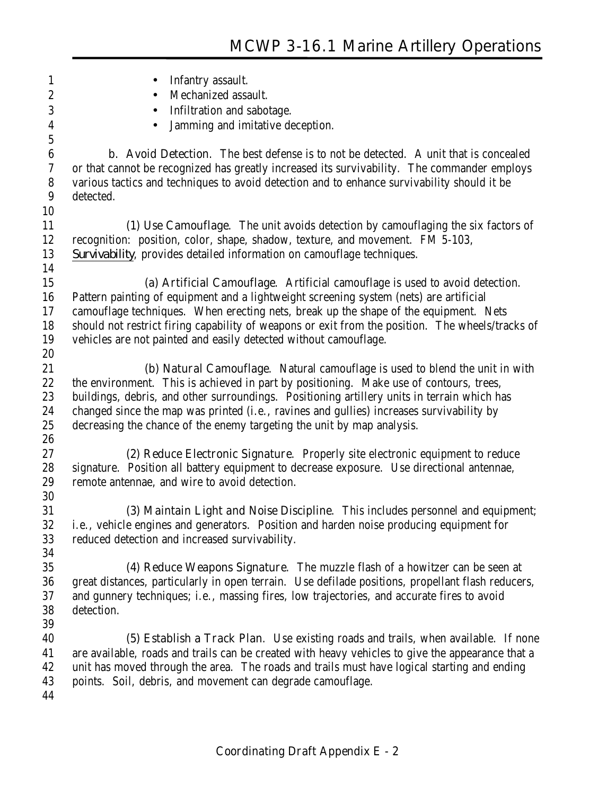| $\mathbf{1}$     | Infantry assault.                                                                                 |
|------------------|---------------------------------------------------------------------------------------------------|
| $\boldsymbol{2}$ | Mechanized assault.                                                                               |
| 3                | Infiltration and sabotage.<br>$\bullet$                                                           |
| 4                | Jamming and imitative deception.                                                                  |
| $\bf 5$          |                                                                                                   |
| $\boldsymbol{6}$ | <b>b.</b> Avoid Detection. The best defense is to not be detected. A unit that is concealed       |
| $\boldsymbol{7}$ | or that cannot be recognized has greatly increased its survivability. The commander employs       |
| $\boldsymbol{8}$ | various tactics and techniques to avoid detection and to enhance survivability should it be       |
| 9                | detected.                                                                                         |
| 10               |                                                                                                   |
| 11               | (1) Use Camouflage. The unit avoids detection by camouflaging the six factors of                  |
| 12               | recognition: position, color, shape, shadow, texture, and movement. FM 5-103,                     |
| 13               | Survivability, provides detailed information on camouflage techniques.                            |
| 14               |                                                                                                   |
| 15               | (a) Artificial Camouflage. Artificial camouflage is used to avoid detection.                      |
| 16               | Pattern painting of equipment and a lightweight screening system (nets) are artificial            |
| 17               | camouflage techniques. When erecting nets, break up the shape of the equipment. Nets              |
| 18               | should not restrict firing capability of weapons or exit from the position. The wheels/tracks of  |
| 19               | vehicles are not painted and easily detected without camouflage.                                  |
| 20               |                                                                                                   |
| 21               | (b) Natural Camouflage. Natural camouflage is used to blend the unit in with                      |
| 22               | the environment. This is achieved in part by positioning. Make use of contours, trees,            |
| 23               | buildings, debris, and other surroundings. Positioning artillery units in terrain which has       |
| 24               | changed since the map was printed (i.e., ravines and gullies) increases survivability by          |
| 25               | decreasing the chance of the enemy targeting the unit by map analysis.                            |
| 26               |                                                                                                   |
| 27               | (2) Reduce Electronic Signature. Properly site electronic equipment to reduce                     |
| 28               | signature. Position all battery equipment to decrease exposure. Use directional antennae,         |
| 29               | remote antennae, and wire to avoid detection.                                                     |
| 30               |                                                                                                   |
| 31               | (3) Maintain Light and Noise Discipline. This includes personnel and equipment;                   |
| 32               | i.e., vehicle engines and generators. Position and harden noise producing equipment for           |
| 33               | reduced detection and increased survivability.                                                    |
| 34               |                                                                                                   |
| 35               | (4) Reduce Weapons Signature. The muzzle flash of a howitzer can be seen at                       |
| 36               | great distances, particularly in open terrain. Use defilade positions, propellant flash reducers, |
| 37               | and gunnery techniques; i.e., massing fires, low trajectories, and accurate fires to avoid        |
| 38               | detection.                                                                                        |
| 39               |                                                                                                   |
| 40               | (5) Establish a Track Plan. Use existing roads and trails, when available. If none                |
| 41               | are available, roads and trails can be created with heavy vehicles to give the appearance that a  |
| 42               | unit has moved through the area. The roads and trails must have logical starting and ending       |
| 43               | points. Soil, debris, and movement can degrade camouflage.                                        |
| 44               |                                                                                                   |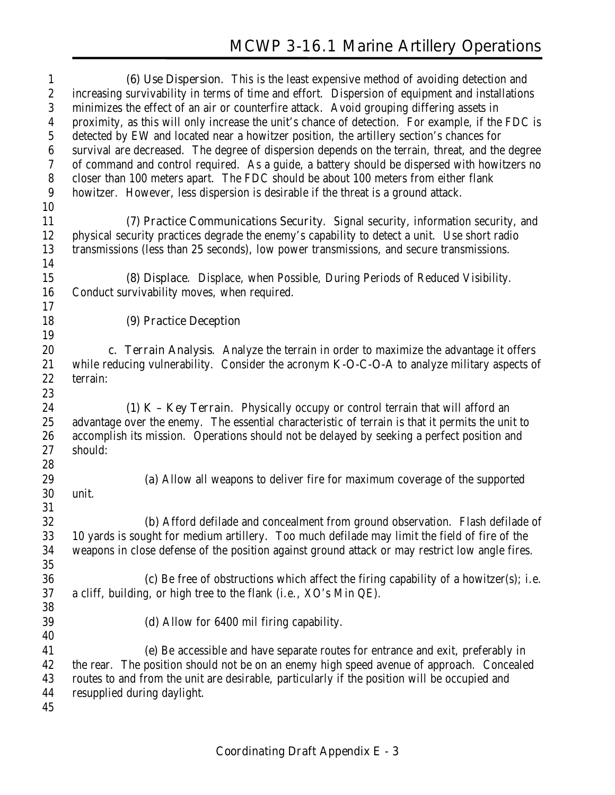**(6) Use Dispersion**. This is the least expensive method of avoiding detection and increasing survivability in terms of time and effort. Dispersion of equipment and installations minimizes the effect of an air or counterfire attack. Avoid grouping differing assets in proximity, as this will only increase the unit's chance of detection. For example, if the FDC is detected by EW and located near a howitzer position, the artillery section's chances for survival are decreased. The degree of dispersion depends on the terrain, threat, and the degree of command and control required. As a guide, a battery should be dispersed with howitzers no closer than 100 meters apart. The FDC should be about 100 meters from either flank howitzer. However, less dispersion is desirable if the threat is a ground attack. **(7) Practice Communications Security**. Signal security, information security, and physical security practices degrade the enemy's capability to detect a unit. Use short radio transmissions (less than 25 seconds), low power transmissions, and secure transmissions. **(8) Displace**. Displace, when Possible, During Periods of Reduced Visibility. Conduct survivability moves, when required. **(9) Practice Deception c. Terrain Analysis**. Analyze the terrain in order to maximize the advantage it offers while reducing vulnerability. Consider the acronym **K-O-C-O-A** to analyze military aspects of terrain: **(1) K – Key Terrain**. Physically occupy or control terrain that will afford an advantage over the enemy. The essential characteristic of terrain is that it permits the unit to accomplish its mission. Operations should not be delayed by seeking a perfect position and should: **(a)** Allow all weapons to deliver fire for maximum coverage of the supported unit. **(b)** Afford defilade and concealment from ground observation. Flash defilade of 10 yards is sought for medium artillery. Too much defilade may limit the field of fire of the weapons in close defense of the position against ground attack or may restrict low angle fires. **(c)** Be free of obstructions which affect the firing capability of a howitzer(s); i.e. a cliff, building, or high tree to the flank (i.e., XO's Min QE). **(d)** Allow for 6400 mil firing capability. **(e)** Be accessible and have separate routes for entrance and exit, preferably in the rear. The position should not be on an enemy high speed avenue of approach. Concealed routes to and from the unit are desirable, particularly if the position will be occupied and resupplied during daylight.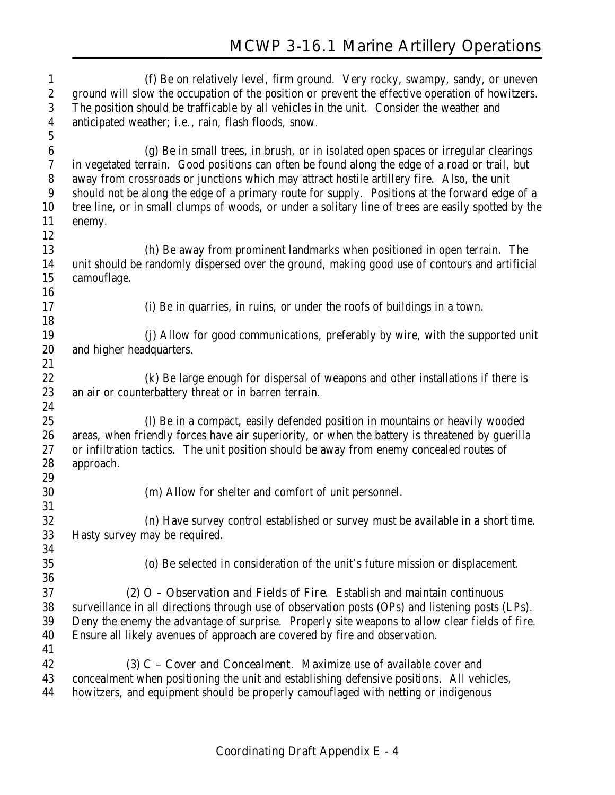| $\mathbf{1}$     | (f) Be on relatively level, firm ground. Very rocky, swampy, sandy, or uneven                                                                                                   |
|------------------|---------------------------------------------------------------------------------------------------------------------------------------------------------------------------------|
| $\sqrt{2}$       | ground will slow the occupation of the position or prevent the effective operation of howitzers.                                                                                |
| 3                | The position should be trafficable by all vehicles in the unit. Consider the weather and                                                                                        |
| $\boldsymbol{4}$ | anticipated weather; i.e., rain, flash floods, snow.                                                                                                                            |
| $\sqrt{5}$       |                                                                                                                                                                                 |
| $\boldsymbol{6}$ | (g) Be in small trees, in brush, or in isolated open spaces or irregular clearings                                                                                              |
| 7                | in vegetated terrain. Good positions can often be found along the edge of a road or trail, but                                                                                  |
| 8                | away from crossroads or junctions which may attract hostile artillery fire. Also, the unit                                                                                      |
| $\boldsymbol{9}$ | should not be along the edge of a primary route for supply. Positions at the forward edge of a                                                                                  |
| 10               | tree line, or in small clumps of woods, or under a solitary line of trees are easily spotted by the                                                                             |
| 11               | enemy.                                                                                                                                                                          |
| 12               |                                                                                                                                                                                 |
| 13               | <b>(h)</b> Be away from prominent landmarks when positioned in open terrain. The                                                                                                |
| 14               | unit should be randomly dispersed over the ground, making good use of contours and artificial                                                                                   |
| 15               | camouflage.                                                                                                                                                                     |
| 16               |                                                                                                                                                                                 |
| 17               | (i) Be in quarries, in ruins, or under the roofs of buildings in a town.                                                                                                        |
| 18               |                                                                                                                                                                                 |
| 19               | (j) Allow for good communications, preferably by wire, with the supported unit                                                                                                  |
| 20               | and higher headquarters.                                                                                                                                                        |
| 21               |                                                                                                                                                                                 |
| 22               | (k) Be large enough for dispersal of weapons and other installations if there is                                                                                                |
| 23               | an air or counterbattery threat or in barren terrain.                                                                                                                           |
| 24               |                                                                                                                                                                                 |
| 25               | (I) Be in a compact, easily defended position in mountains or heavily wooded                                                                                                    |
| 26               | areas, when friendly forces have air superiority, or when the battery is threatened by guerilla                                                                                 |
| 27               | or infiltration tactics. The unit position should be away from enemy concealed routes of                                                                                        |
| 28               | approach.                                                                                                                                                                       |
| 29               |                                                                                                                                                                                 |
| 30               | (m) Allow for shelter and comfort of unit personnel.                                                                                                                            |
| 31               |                                                                                                                                                                                 |
| 32               | (n) Have survey control established or survey must be available in a short time.                                                                                                |
| 33<br>34         | Hasty survey may be required.                                                                                                                                                   |
|                  |                                                                                                                                                                                 |
| $35\,$<br>36     | (o) Be selected in consideration of the unit's future mission or displacement.                                                                                                  |
| 37               |                                                                                                                                                                                 |
| 38               | $(2)$ O – Observation and Fields of Fire. Establish and maintain continuous<br>surveillance in all directions through use of observation posts (OPs) and listening posts (LPs). |
| 39               | Deny the enemy the advantage of surprise. Properly site weapons to allow clear fields of fire.                                                                                  |
| 40               | Ensure all likely avenues of approach are covered by fire and observation.                                                                                                      |
| 41               |                                                                                                                                                                                 |
| 42               | (3) C – Cover and Concealment. Maximize use of available cover and                                                                                                              |
| 43               | concealment when positioning the unit and establishing defensive positions. All vehicles,                                                                                       |
| 44               | howitzers, and equipment should be properly camouflaged with netting or indigenous                                                                                              |
|                  |                                                                                                                                                                                 |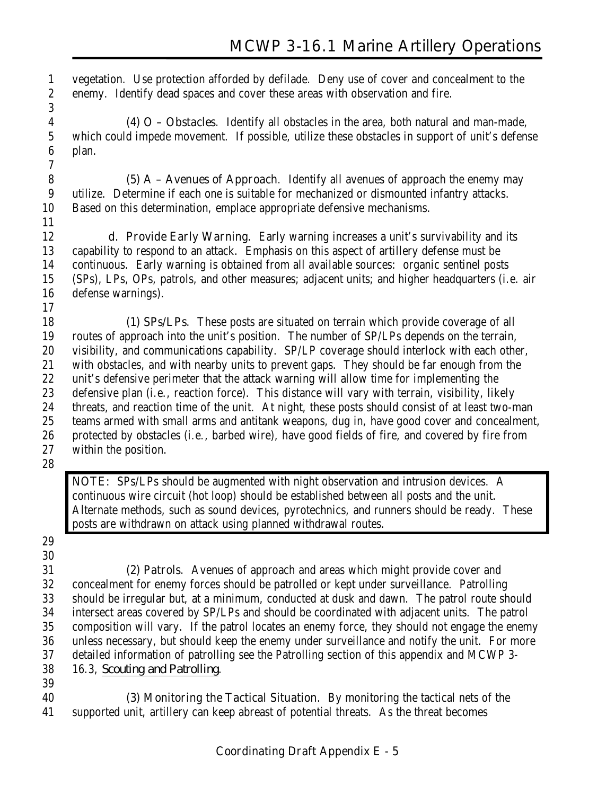vegetation. Use protection afforded by defilade. Deny use of cover and concealment to the enemy. Identify dead spaces and cover these areas with observation and fire. 

 **(4) O – Obstacles**. Identify all obstacles in the area, both natural and man-made, which could impede movement. If possible, utilize these obstacles in support of unit's defense plan.

 **(5) A – Avenues of Approach**. Identify all avenues of approach the enemy may utilize. Determine if each one is suitable for mechanized or dismounted infantry attacks. Based on this determination, emplace appropriate defensive mechanisms. 

 **d. Provide Early Warning**. Early warning increases a unit's survivability and its capability to respond to an attack. Emphasis on this aspect of artillery defense must be continuous. Early warning is obtained from all available sources: organic sentinel posts (SPs), LPs, OPs, patrols, and other measures; adjacent units; and higher headquarters (i.e. air defense warnings).

**(1) SPs/LPs**. These posts are situated on terrain which provide coverage of all routes of approach into the unit's position. The number of SP/LPs depends on the terrain, visibility, and communications capability. SP/LP coverage should interlock with each other, with obstacles, and with nearby units to prevent gaps. They should be far enough from the unit's defensive perimeter that the attack warning will allow time for implementing the defensive plan (i.e., reaction force). This distance will vary with terrain, visibility, likely threats, and reaction time of the unit. At night, these posts should consist of at least two-man teams armed with small arms and antitank weapons, dug in, have good cover and concealment, protected by obstacles (i.e., barbed wire), have good fields of fire, and covered by fire from within the position.

**NOTE:** SPs/LPs should be augmented with night observation and intrusion devices. A continuous wire circuit (hot loop) should be established between all posts and the unit. Alternate methods, such as sound devices, pyrotechnics, and runners should be ready. These posts are withdrawn on attack using planned withdrawal routes.

**(2) Patrols**. Avenues of approach and areas which might provide cover and concealment for enemy forces should be patrolled or kept under surveillance. Patrolling should be irregular but, at a minimum, conducted at dusk and dawn. The patrol route should intersect areas covered by SP/LPs and should be coordinated with adjacent units. The patrol composition will vary. If the patrol locates an enemy force, they should not engage the enemy unless necessary, but should keep the enemy under surveillance and notify the unit. For more detailed information of patrolling see the Patrolling section of this appendix and MCWP 3- 16.3, *Scouting and Patrolling*.

**(3) Monitoring the Tactical Situation**. By monitoring the tactical nets of the supported unit, artillery can keep abreast of potential threats. As the threat becomes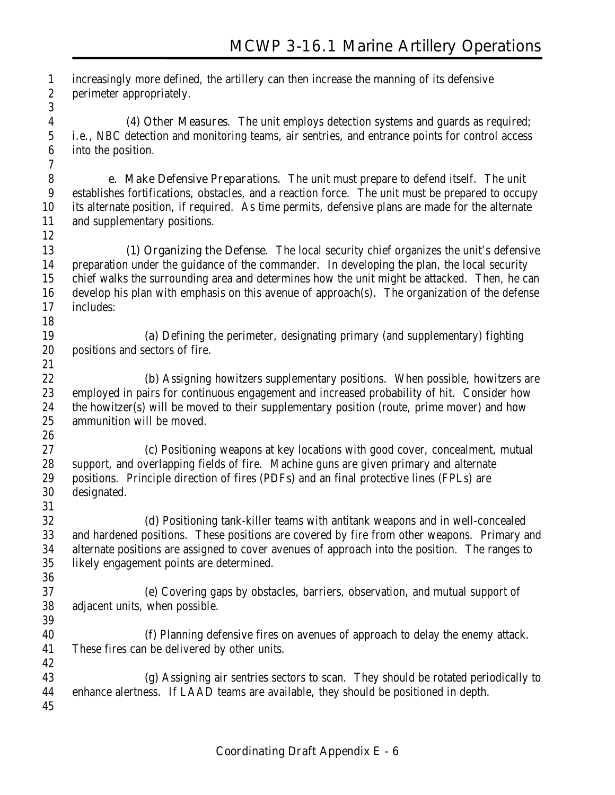increasingly more defined, the artillery can then increase the manning of its defensive perimeter appropriately. 

**(4) Other Measures**. The unit employs detection systems and guards as required; i.e., NBC detection and monitoring teams, air sentries, and entrance points for control access into the position.

 **e. Make Defensive Preparations**. The unit must prepare to defend itself. The unit establishes fortifications, obstacles, and a reaction force. The unit must be prepared to occupy its alternate position, if required. As time permits, defensive plans are made for the alternate and supplementary positions.

**(1) Organizing the Defense**. The local security chief organizes the unit's defensive preparation under the guidance of the commander. In developing the plan, the local security chief walks the surrounding area and determines how the unit might be attacked. Then, he can develop his plan with emphasis on this avenue of approach(s). The organization of the defense includes: 

 **(a)** Defining the perimeter, designating primary (and supplementary) fighting positions and sectors of fire. 

 **(b)** Assigning howitzers supplementary positions. When possible, howitzers are employed in pairs for continuous engagement and increased probability of hit. Consider how the howitzer(s) will be moved to their supplementary position (route, prime mover) and how ammunition will be moved.

 **(c)** Positioning weapons at key locations with good cover, concealment, mutual support, and overlapping fields of fire. Machine guns are given primary and alternate positions. Principle direction of fires (PDFs) and an final protective lines (FPLs) are designated. 

 **(d)** Positioning tank-killer teams with antitank weapons and in well-concealed and hardened positions. These positions are covered by fire from other weapons. Primary and alternate positions are assigned to cover avenues of approach into the position. The ranges to likely engagement points are determined. 

 **(e)** Covering gaps by obstacles, barriers, observation, and mutual support of adjacent units, when possible.

 **(f)** Planning defensive fires on avenues of approach to delay the enemy attack. These fires can be delivered by other units.

 **(g)** Assigning air sentries sectors to scan. They should be rotated periodically to enhance alertness. If LAAD teams are available, they should be positioned in depth.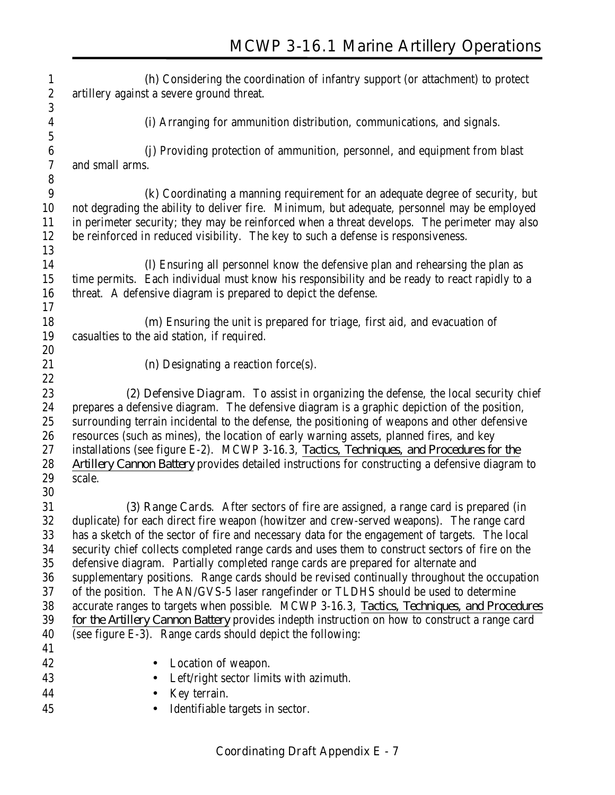| 1                | (h) Considering the coordination of infantry support (or attachment) to protect                 |
|------------------|-------------------------------------------------------------------------------------------------|
| $\boldsymbol{2}$ | artillery against a severe ground threat.                                                       |
| 3                |                                                                                                 |
| $\boldsymbol{4}$ | (i) Arranging for ammunition distribution, communications, and signals.                         |
| $\sqrt{5}$       |                                                                                                 |
| $\boldsymbol{6}$ | (i) Providing protection of ammunition, personnel, and equipment from blast                     |
| $\sqrt{7}$       | and small arms.                                                                                 |
| $\bf 8$          |                                                                                                 |
| 9                | (k) Coordinating a manning requirement for an adequate degree of security, but                  |
| 10<br>11         | not degrading the ability to deliver fire. Minimum, but adequate, personnel may be employed     |
| 12               | in perimeter security; they may be reinforced when a threat develops. The perimeter may also    |
| 13               | be reinforced in reduced visibility. The key to such a defense is responsiveness.               |
| 14               | (I) Ensuring all personnel know the defensive plan and rehearsing the plan as                   |
| 15               | time permits. Each individual must know his responsibility and be ready to react rapidly to a   |
| 16               | threat. A defensive diagram is prepared to depict the defense.                                  |
| 17               |                                                                                                 |
| 18               | (m) Ensuring the unit is prepared for triage, first aid, and evacuation of                      |
| 19               | casualties to the aid station, if required.                                                     |
| 20               |                                                                                                 |
| 21               | (n) Designating a reaction force $(s)$ .                                                        |
| 22               |                                                                                                 |
| 23               | (2) Defensive Diagram. To assist in organizing the defense, the local security chief            |
| 24               | prepares a defensive diagram. The defensive diagram is a graphic depiction of the position,     |
| 25               | surrounding terrain incidental to the defense, the positioning of weapons and other defensive   |
| $26\,$           | resources (such as mines), the location of early warning assets, planned fires, and key         |
| 27               | installations (see figure E-2). MCWP 3-16.3, Tactics, Techniques, and Procedures for the        |
| 28               | Artillery Cannon Battery provides detailed instructions for constructing a defensive diagram to |
| 29               | scale.                                                                                          |
| 30               |                                                                                                 |
| 31               | (3) Range Cards. After sectors of fire are assigned, a range card is prepared (in               |
| 32               | duplicate) for each direct fire weapon (howitzer and crew-served weapons). The range card       |
| 33               | has a sketch of the sector of fire and necessary data for the engagement of targets. The local  |
| 34               | security chief collects completed range cards and uses them to construct sectors of fire on the |
| 35               | defensive diagram. Partially completed range cards are prepared for alternate and               |
| 36               | supplementary positions. Range cards should be revised continually throughout the occupation    |
| 37               | of the position. The AN/GVS-5 laser rangefinder or TLDHS should be used to determine            |
| 38               | accurate ranges to targets when possible. MCWP 3-16.3, Tactics, Techniques, and Procedures      |
| 39               | for the Artillery Cannon Battery provides indepth instruction on how to construct a range card  |
| 40               | (see figure E-3). Range cards should depict the following:                                      |
| 41               |                                                                                                 |
| 42               | Location of weapon.                                                                             |
| 43               | Left/right sector limits with azimuth.                                                          |
| 44               | Key terrain.                                                                                    |
| 45               | Identifiable targets in sector.                                                                 |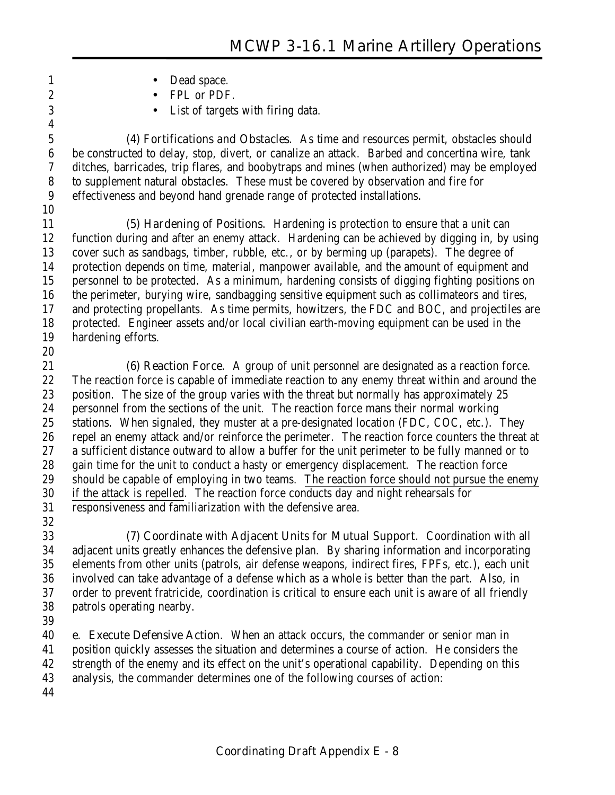- 1 Dead space.
- 2 FPL or PDF.
- List of targets with firing data.

**(4) Fortifications and Obstacles**. As time and resources permit, obstacles should be constructed to delay, stop, divert, or canalize an attack. Barbed and concertina wire, tank ditches, barricades, trip flares, and boobytraps and mines (when authorized) may be employed to supplement natural obstacles. These must be covered by observation and fire for effectiveness and beyond hand grenade range of protected installations.

**(5) Hardening of Positions**. Hardening is protection to ensure that a unit can function during and after an enemy attack. Hardening can be achieved by digging in, by using cover such as sandbags, timber, rubble, etc., or by berming up (parapets). The degree of protection depends on time, material, manpower available, and the amount of equipment and personnel to be protected. As a minimum, hardening consists of digging fighting positions on the perimeter, burying wire, sandbagging sensitive equipment such as collimateors and tires, and protecting propellants. As time permits, howitzers, the FDC and BOC, and projectiles are protected. Engineer assets and/or local civilian earth-moving equipment can be used in the hardening efforts.

**(6) Reaction Force**. A group of unit personnel are designated as a reaction force. The reaction force is capable of immediate reaction to any enemy threat within and around the 23 position. The size of the group varies with the threat but normally has approximately 25 personnel from the sections of the unit. The reaction force mans their normal working stations. When signaled, they muster at a pre-designated location (FDC, COC, etc.). They repel an enemy attack and/or reinforce the perimeter. The reaction force counters the threat at a sufficient distance outward to allow a buffer for the unit perimeter to be fully manned or to gain time for the unit to conduct a hasty or emergency displacement. The reaction force should be capable of employing in two teams. The reaction force should not pursue the enemy if the attack is repelled. The reaction force conducts day and night rehearsals for responsiveness and familiarization with the defensive area.

**(7) Coordinate with Adjacent Units for Mutual Support**. Coordination with all adjacent units greatly enhances the defensive plan. By sharing information and incorporating elements from other units (patrols, air defense weapons, indirect fires, FPFs, etc.), each unit involved can take advantage of a defense which as a whole is better than the part. Also, in order to prevent fratricide, coordination is critical to ensure each unit is aware of all friendly patrols operating nearby.

 **e. Execute Defensive Action**. When an attack occurs, the commander or senior man in position quickly assesses the situation and determines a course of action. He considers the strength of the enemy and its effect on the unit's operational capability. Depending on this analysis, the commander determines one of the following courses of action: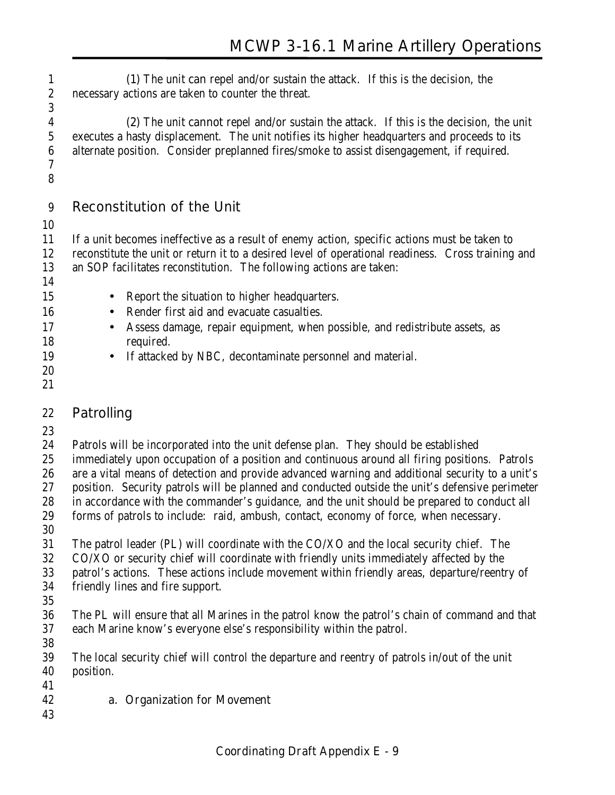**(1)** The unit **can** repel and/or sustain the attack. If this is the decision, the necessary actions are taken to counter the threat. 

**(2)** The unit **cannot** repel and/or sustain the attack. If this is the decision, the unit executes a hasty displacement. The unit notifies its higher headquarters and proceeds to its alternate position. Consider preplanned fires/smoke to assist disengagement, if required. 

#### **Reconstitution of the Unit**

 If a unit becomes ineffective as a result of enemy action, specific actions must be taken to reconstitute the unit or return it to a desired level of operational readiness. Cross training and an SOP facilitates reconstitution. The following actions are taken:

- 15 Report the situation to higher headquarters.
- Render first aid and evacuate casualties.
- Assess damage, repair equipment, when possible, and redistribute assets, as required.
- If attacked by NBC, decontaminate personnel and material.
- 

### **Patrolling**

Patrols will be incorporated into the unit defense plan. They should be established

immediately upon occupation of a position and continuous around all firing positions. Patrols

are a vital means of detection and provide advanced warning and additional security to a unit's

 position. Security patrols will be planned and conducted outside the unit's defensive perimeter in accordance with the commander's guidance, and the unit should be prepared to conduct all

forms of patrols to include: raid, ambush, contact, economy of force, when necessary.

The patrol leader (PL) will coordinate with the CO/XO and the local security chief. The

CO/XO or security chief will coordinate with friendly units immediately affected by the

patrol's actions. These actions include movement within friendly areas, departure/reentry of

- friendly lines and fire support.
- 

 The PL will ensure that all Marines in the patrol know the patrol's chain of command and that each Marine know's everyone else's responsibility within the patrol. 

 The local security chief will control the departure and reentry of patrols in/out of the unit position.

**a. Organization for Movement**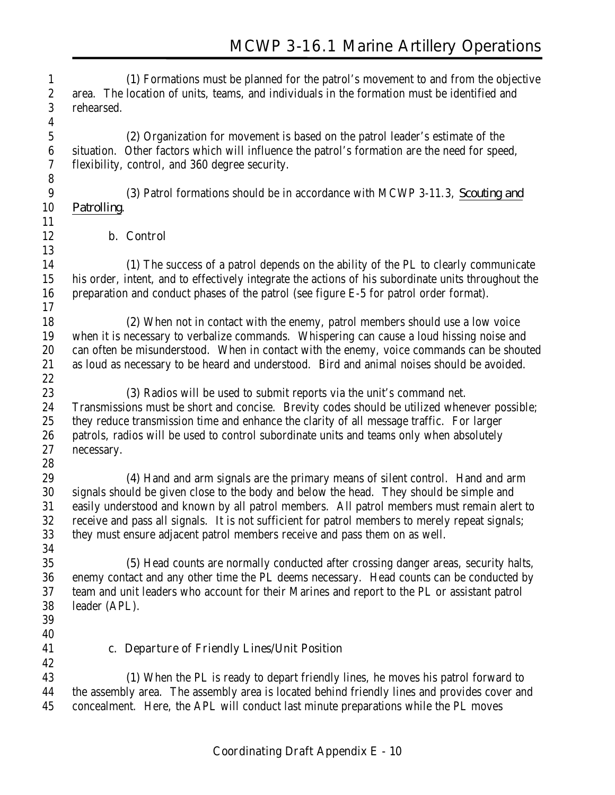**(1)** Formations must be planned for the patrol's movement to and from the objective area. The location of units, teams, and individuals in the formation must be identified and rehearsed. **(2)** Organization for movement is based on the patrol leader's estimate of the situation. Other factors which will influence the patrol's formation are the need for speed, flexibility, control, and 360 degree security. **(3)** Patrol formations should be in accordance with MCWP 3-11.3, *Scouting and Patrolling*. **b. Control (1)** The success of a patrol depends on the ability of the PL to clearly communicate his order, intent, and to effectively integrate the actions of his subordinate units throughout the preparation and conduct phases of the patrol (see figure E-5 for patrol order format). **(2)** When not in contact with the enemy, patrol members should use a low voice when it is necessary to verbalize commands. Whispering can cause a loud hissing noise and can often be misunderstood. When in contact with the enemy, voice commands can be shouted as loud as necessary to be heard and understood. Bird and animal noises should be avoided. **(3)** Radios will be used to submit reports via the unit's command net. Transmissions must be short and concise. Brevity codes should be utilized whenever possible; they reduce transmission time and enhance the clarity of all message traffic. For larger patrols, radios will be used to control subordinate units and teams only when absolutely necessary. **(4)** Hand and arm signals are the primary means of silent control. Hand and arm signals should be given close to the body and below the head. They should be simple and easily understood and known by all patrol members. All patrol members must remain alert to receive and pass all signals. It is not sufficient for patrol members to merely repeat signals; they must ensure adjacent patrol members receive and pass them on as well. **(5)** Head counts are normally conducted after crossing danger areas, security halts, enemy contact and any other time the PL deems necessary. Head counts can be conducted by team and unit leaders who account for their Marines and report to the PL or assistant patrol leader (APL). **c. Departure of Friendly Lines/Unit Position (1)** When the PL is ready to depart friendly lines, he moves his patrol forward to the assembly area. The assembly area is located behind friendly lines and provides cover and concealment. Here, the APL will conduct last minute preparations while the PL moves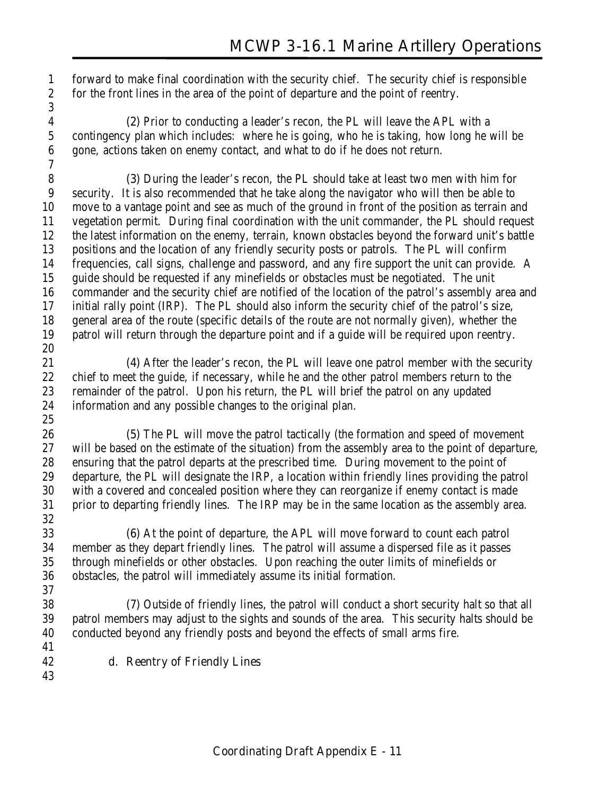forward to make final coordination with the security chief. The security chief is responsible for the front lines in the area of the point of departure and the point of reentry. 

**(2)** Prior to conducting a leader's recon, the PL will leave the APL with a contingency plan which includes: where he is going, who he is taking, how long he will be gone, actions taken on enemy contact, and what to do if he does not return.

**(3)** During the leader's recon, the PL should take at least two men with him for security. It is also recommended that he take along the navigator who will then be able to move to a vantage point and see as much of the ground in front of the position as terrain and vegetation permit. During final coordination with the unit commander, the PL should request the latest information on the enemy, terrain, known obstacles beyond the forward unit's battle positions and the location of any friendly security posts or patrols. The PL will confirm frequencies, call signs, challenge and password, and any fire support the unit can provide. A guide should be requested if any minefields or obstacles must be negotiated. The unit commander and the security chief are notified of the location of the patrol's assembly area and initial rally point (IRP). The PL should also inform the security chief of the patrol's size, general area of the route (specific details of the route are not normally given), whether the patrol will return through the departure point and if a guide will be required upon reentry. 

**(4)** After the leader's recon, the PL will leave one patrol member with the security chief to meet the guide, if necessary, while he and the other patrol members return to the remainder of the patrol. Upon his return, the PL will brief the patrol on any updated information and any possible changes to the original plan.

**(5)** The PL will move the patrol tactically (the formation and speed of movement will be based on the estimate of the situation) from the assembly area to the point of departure, ensuring that the patrol departs at the prescribed time. During movement to the point of departure, the PL will designate the IRP, a location within friendly lines providing the patrol with a covered and concealed position where they can reorganize if enemy contact is made prior to departing friendly lines. The IRP may be in the same location as the assembly area. 

**(6)** At the point of departure, the APL will move forward to count each patrol member as they depart friendly lines. The patrol will assume a dispersed file as it passes through minefields or other obstacles. Upon reaching the outer limits of minefields or obstacles, the patrol will immediately assume its initial formation. 

**(7)** Outside of friendly lines, the patrol will conduct a short security halt so that all patrol members may adjust to the sights and sounds of the area. This security halts should be conducted beyond any friendly posts and beyond the effects of small arms fire.

**d. Reentry of Friendly Lines**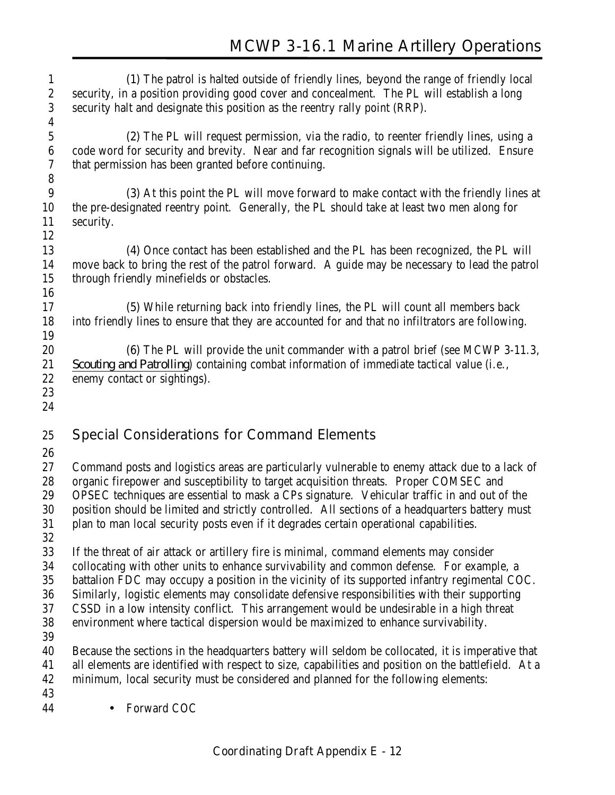| $\mathbf{1}$     | (1) The patrol is halted outside of friendly lines, beyond the range of friendly local               |
|------------------|------------------------------------------------------------------------------------------------------|
| $\boldsymbol{2}$ | security, in a position providing good cover and concealment. The PL will establish a long           |
| 3                | security halt and designate this position as the reentry rally point (RRP).                          |
| 4                |                                                                                                      |
| $\mathbf 5$      | (2) The PL will request permission, via the radio, to reenter friendly lines, using a                |
| $\boldsymbol{6}$ | code word for security and brevity. Near and far recognition signals will be utilized. Ensure        |
| 7                | that permission has been granted before continuing.                                                  |
| $\boldsymbol{8}$ |                                                                                                      |
| 9                | (3) At this point the PL will move forward to make contact with the friendly lines at                |
| 10               | the pre-designated reentry point. Generally, the PL should take at least two men along for           |
| 11               | security.                                                                                            |
| 12               |                                                                                                      |
| 13               | (4) Once contact has been established and the PL has been recognized, the PL will                    |
| 14               | move back to bring the rest of the patrol forward. A guide may be necessary to lead the patrol       |
| 15               | through friendly minefields or obstacles.                                                            |
| 16               |                                                                                                      |
| 17               | (5) While returning back into friendly lines, the PL will count all members back                     |
| 18               | into friendly lines to ensure that they are accounted for and that no infiltrators are following.    |
| 19               |                                                                                                      |
| 20               | (6) The PL will provide the unit commander with a patrol brief (see MCWP 3-11.3,                     |
| 21               | Scouting and Patrolling) containing combat information of immediate tactical value (i.e.,            |
| 22               | enemy contact or sightings).                                                                         |
| 23               |                                                                                                      |
| 24               |                                                                                                      |
| 25               | <b>Special Considerations for Command Elements</b>                                                   |
| 26               |                                                                                                      |
| 27               | Command posts and logistics areas are particularly vulnerable to enemy attack due to a lack of       |
| 28               | organic firepower and susceptibility to target acquisition threats. Proper COMSEC and                |
| 29               | OPSEC techniques are essential to mask a CPs signature. Vehicular traffic in and out of the          |
| 30               | position should be limited and strictly controlled. All sections of a headquarters battery must      |
| 31               | plan to man local security posts even if it degrades certain operational capabilities.               |
| 32               |                                                                                                      |
| 33               | If the threat of air attack or artillery fire is minimal, command elements may consider              |
| 34               | collocating with other units to enhance survivability and common defense. For example, a             |
| 35               | battalion FDC may occupy a position in the vicinity of its supported infantry regimental COC.        |
| 36               | Similarly, logistic elements may consolidate defensive responsibilities with their supporting        |
| 37               | CSSD in a low intensity conflict. This arrangement would be undesirable in a high threat             |
| 38               | environment where tactical dispersion would be maximized to enhance survivability.                   |
| 39               |                                                                                                      |
| 40               |                                                                                                      |
|                  | Because the sections in the headquarters battery will seldom be collocated, it is imperative that    |
| 41               | all elements are identified with respect to size, capabilities and position on the battlefield. At a |
| 42               | minimum, local security must be considered and planned for the following elements:                   |
| 43               |                                                                                                      |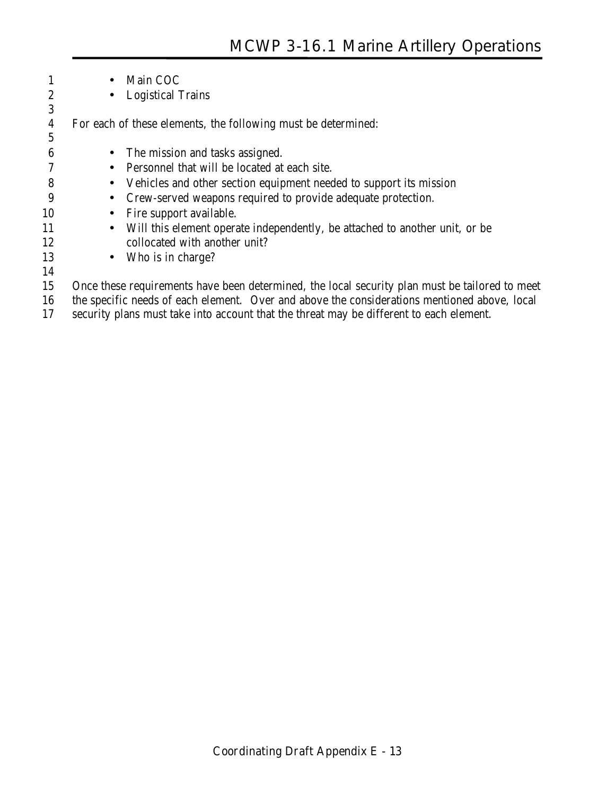|                  |           | Main COC                                                                                       |
|------------------|-----------|------------------------------------------------------------------------------------------------|
| $\boldsymbol{2}$ | $\bullet$ | <b>Logistical Trains</b>                                                                       |
| 3                |           |                                                                                                |
| 4                |           | For each of these elements, the following must be determined:                                  |
| 5                |           |                                                                                                |
| 6                | $\bullet$ | The mission and tasks assigned.                                                                |
|                  | $\bullet$ | Personnel that will be located at each site.                                                   |
| 8                | $\bullet$ | Vehicles and other section equipment needed to support its mission                             |
| 9                | $\bullet$ | Crew-served weapons required to provide adequate protection.                                   |
| 10               | $\bullet$ | Fire support available.                                                                        |
| 11               | $\bullet$ | Will this element operate independently, be attached to another unit, or be                    |
| 12               |           | collocated with another unit?                                                                  |
| 13               | $\bullet$ | Who is in charge?                                                                              |
| 14               |           |                                                                                                |
| 15               |           | Once these requirements have been determined, the local security plan must be tailored to meet |
|                  |           |                                                                                                |

 the specific needs of each element. Over and above the considerations mentioned above, local security plans must take into account that the threat may be different to each element.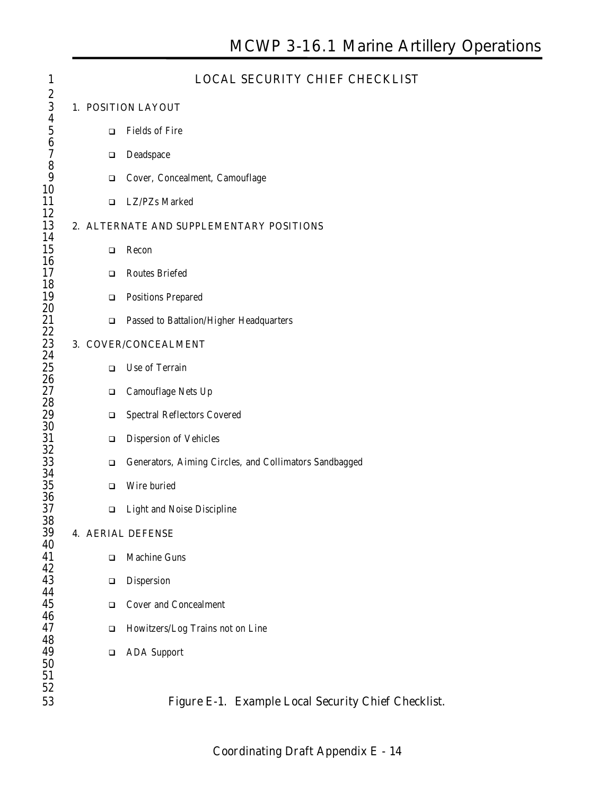| $\mathbf{1}$                      |  |        | <b>LOCAL SECURITY CHIEF CHECKLIST</b>                  |
|-----------------------------------|--|--------|--------------------------------------------------------|
| $\boldsymbol{2}$<br>3             |  |        | 1. POSITION LAYOUT                                     |
| $\boldsymbol{4}$<br>$\frac{5}{6}$ |  | $\Box$ | <b>Fields of Fire</b>                                  |
| $\overline{\mathcal{U}}$          |  | ❏      | Deadspace                                              |
| 8<br>9                            |  | ❏      | Cover, Concealment, Camouflage                         |
| 10<br>11                          |  | $\Box$ | LZ/PZs Marked                                          |
| 12<br>13                          |  |        | 2. ALTERNATE AND SUPPLEMENTARY POSITIONS               |
| 14<br>15                          |  | □      | Recon                                                  |
| 16<br>17                          |  | $\Box$ | <b>Routes Briefed</b>                                  |
| 18<br>19                          |  | □      | <b>Positions Prepared</b>                              |
| 20<br>21                          |  | $\Box$ | Passed to Battalion/Higher Headquarters                |
| 22<br>23                          |  |        | 3. COVER/CONCEALMENT                                   |
| 24                                |  |        |                                                        |
| $25\,$<br>26                      |  | $\Box$ | Use of Terrain                                         |
| 27<br>28                          |  | $\Box$ | Camouflage Nets Up                                     |
| 29<br>$30\,$                      |  | ❏      | <b>Spectral Reflectors Covered</b>                     |
| 31<br>32                          |  | ❏      | <b>Dispersion of Vehicles</b>                          |
| 33                                |  | $\Box$ | Generators, Aiming Circles, and Collimators Sandbagged |
| 34<br>35                          |  | □      | Wire buried                                            |
| 36<br>37                          |  | ❏      | <b>Light and Noise Discipline</b>                      |
| 38<br>39                          |  |        | <b>4. AERIAL DEFENSE</b>                               |
| 40<br>41                          |  | ❏      | <b>Machine Guns</b>                                    |
| 42<br>43                          |  | ❏      | <b>Dispersion</b>                                      |
| 44<br>45                          |  | □      | <b>Cover and Concealment</b>                           |
| 46<br>47                          |  | ❏      | Howitzers/Log Trains not on Line                       |
| 48<br>49                          |  | ❏      | <b>ADA</b> Support                                     |
| 50<br>51                          |  |        |                                                        |
| 52                                |  |        |                                                        |
| 53                                |  |        | Figure E-1. Example Local Security Chief Checklist.    |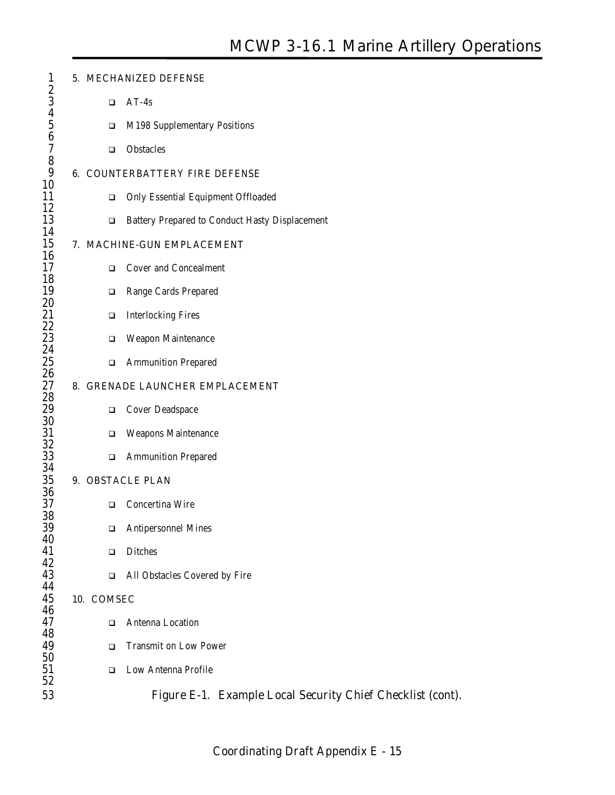| $\mathbf{1}$                                 |            | 5. MECHANIZED DEFENSE                                      |
|----------------------------------------------|------------|------------------------------------------------------------|
| $\boldsymbol{2}$<br>3                        | $\Box$     | $AT-4s$                                                    |
| $\frac{4}{5}$                                | □          | M198 Supplementary Positions                               |
| $\boldsymbol{6}$<br>$\overline{\mathcal{U}}$ | $\Box$     | <b>Obstacles</b>                                           |
| 8<br>9                                       |            | <b>6. COUNTERBATTERY FIRE DEFENSE</b>                      |
| 10<br>11                                     | □          | <b>Only Essential Equipment Offloaded</b>                  |
| 12<br>13                                     | $\Box$     | <b>Battery Prepared to Conduct Hasty Displacement</b>      |
| 14<br>15                                     |            | 7. MACHINE-GUN EMPLACEMENT                                 |
| 16<br>17                                     | $\Box$     | <b>Cover and Concealment</b>                               |
| 18<br>19                                     | ❏          | Range Cards Prepared                                       |
| 20<br>21                                     | □          | <b>Interlocking Fires</b>                                  |
| 22<br>23                                     | □          | <b>Weapon Maintenance</b>                                  |
| 24<br>25                                     | ❏          | <b>Ammunition Prepared</b>                                 |
| 26<br>27                                     |            | 8. GRENADE LAUNCHER EMPLACEMENT                            |
| 28                                           |            |                                                            |
| 29<br>$30\,$                                 | ❏          | <b>Cover Deadspace</b>                                     |
| 31<br>32                                     | ❏          | <b>Weapons Maintenance</b>                                 |
| 33<br>34                                     | ❏          | <b>Ammunition Prepared</b>                                 |
| 35<br>36                                     |            | 9. OBSTACLE PLAN                                           |
| 37                                           | □          | Concertina Wire                                            |
| 38<br>39                                     | ❏          | <b>Antipersonnel Mines</b>                                 |
| 40<br>41                                     | $\Box$     | <b>Ditches</b>                                             |
| 42<br>43                                     | ❏          | All Obstacles Covered by Fire                              |
| 44<br>45                                     | 10. COMSEC |                                                            |
| 46<br>47                                     | □          | Antenna Location                                           |
| 48                                           |            |                                                            |
| 49<br>50                                     | □          | <b>Transmit on Low Power</b>                               |
| 51<br>52                                     | □          | <b>Low Antenna Profile</b>                                 |
| 53                                           |            | Figure E-1. Example Local Security Chief Checklist (cont). |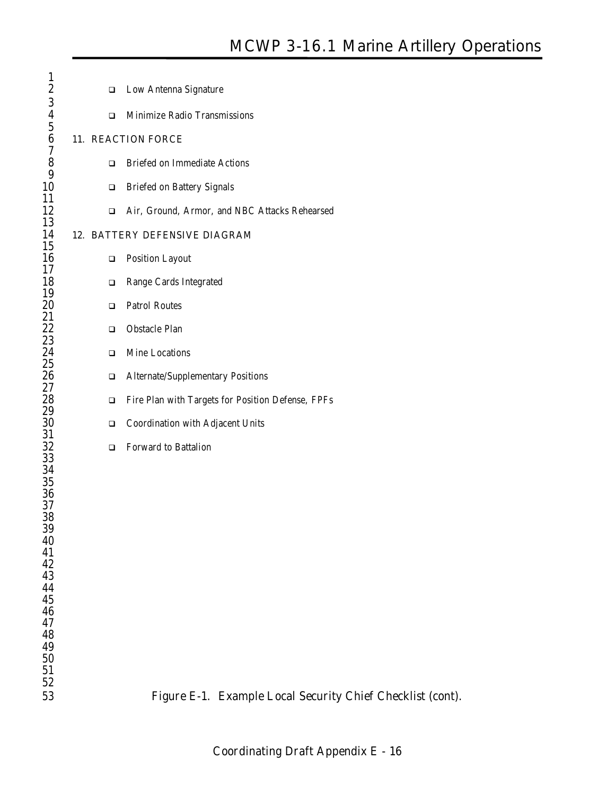| $\mathbf{1}$            |        |                                                            |
|-------------------------|--------|------------------------------------------------------------|
| $\boldsymbol{2}$        | □      | <b>Low Antenna Signature</b>                               |
| $\frac{3}{4}$           | □      | Minimize Radio Transmissions                               |
| $\boldsymbol{6}$        |        | 11. REACTION FORCE                                         |
| 7<br>8                  | $\Box$ | <b>Briefed on Immediate Actions</b>                        |
| 9<br>10                 | $\Box$ | <b>Briefed on Battery Signals</b>                          |
| 11                      |        |                                                            |
| 12<br>13                | □      | Air, Ground, Armor, and NBC Attacks Rehearsed              |
| 14<br>15                |        | 12. BATTERY DEFENSIVE DIAGRAM                              |
| 16<br>17                | ❏      | <b>Position Layout</b>                                     |
| 18                      | ❏      | Range Cards Integrated                                     |
| 19<br>$20\,$            | □      | <b>Patrol Routes</b>                                       |
| 21<br>22                | $\Box$ | <b>Obstacle Plan</b>                                       |
| $23\,$                  | $\Box$ | Mine Locations                                             |
| $\frac{24}{25}$<br>$26$ | ❏      | <b>Alternate/Supplementary Positions</b>                   |
| 27<br>28                | □      | Fire Plan with Targets for Position Defense, FPFs          |
| 29<br>30                | □      | Coordination with Adjacent Units                           |
| 31<br>32                | $\Box$ | Forward to Battalion                                       |
| 33                      |        |                                                            |
| $\frac{34}{35}$<br>$36$ |        |                                                            |
| 37                      |        |                                                            |
| 38<br>39                |        |                                                            |
| 40                      |        |                                                            |
| 41<br>$42\,$            |        |                                                            |
| 43                      |        |                                                            |
| 44                      |        |                                                            |
| 45<br>46                |        |                                                            |
| 47                      |        |                                                            |
| 48<br>49                |        |                                                            |
| ${\bf 50}$              |        |                                                            |
| 51                      |        |                                                            |
| 52                      |        |                                                            |
| 53                      |        | Figure E-1. Example Local Security Chief Checklist (cont). |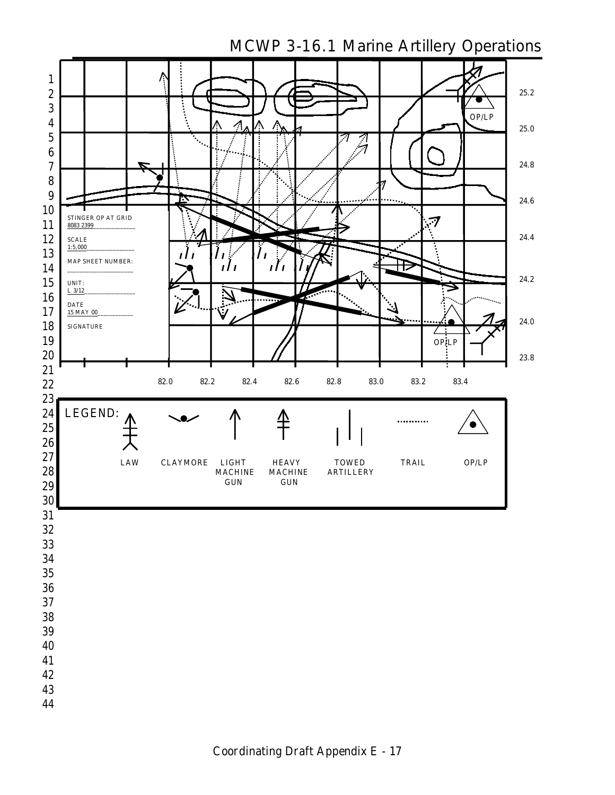

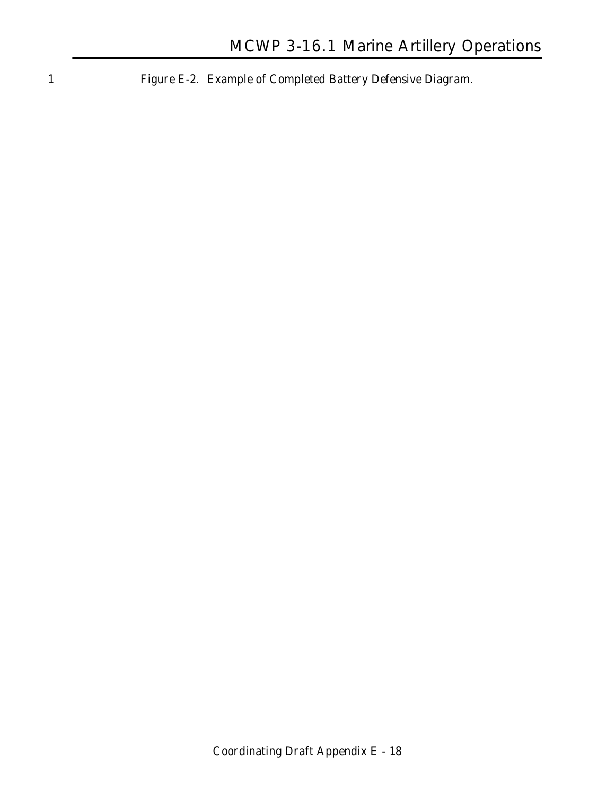1 **Figure E-2. Example of Completed Battery Defensive Diagram.**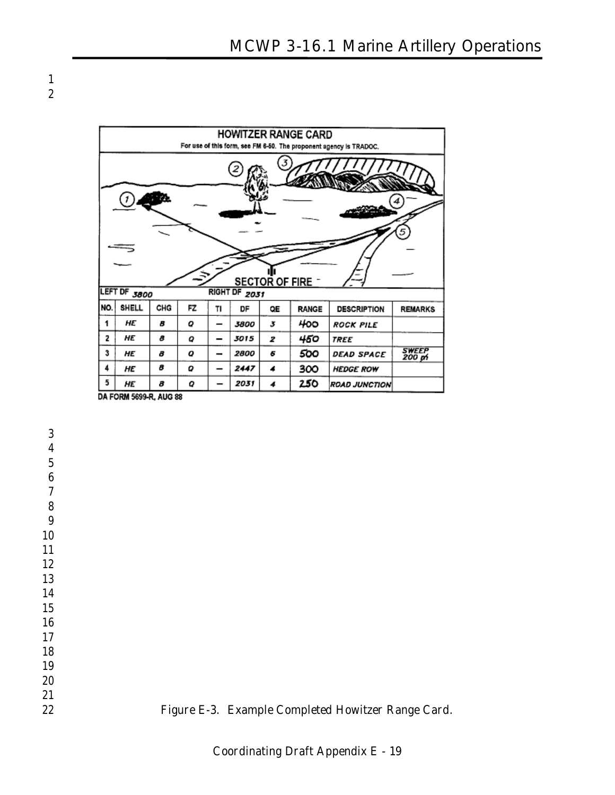

 

 

- 
- 
- 

 



**Figure E-3. Example Completed Howitzer Range Card.**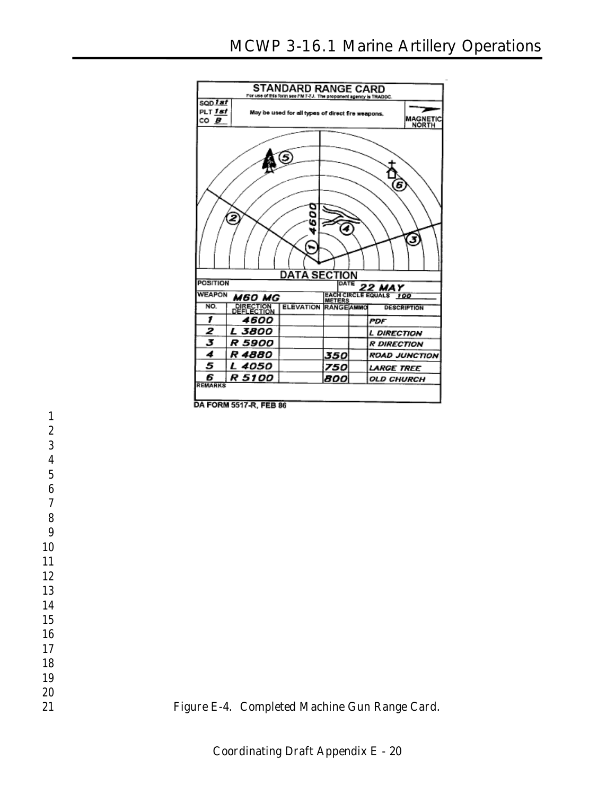

**DA FORM 5517-R, FEB 86** 

**Figure E-4. Completed Machine Gun Range Card.**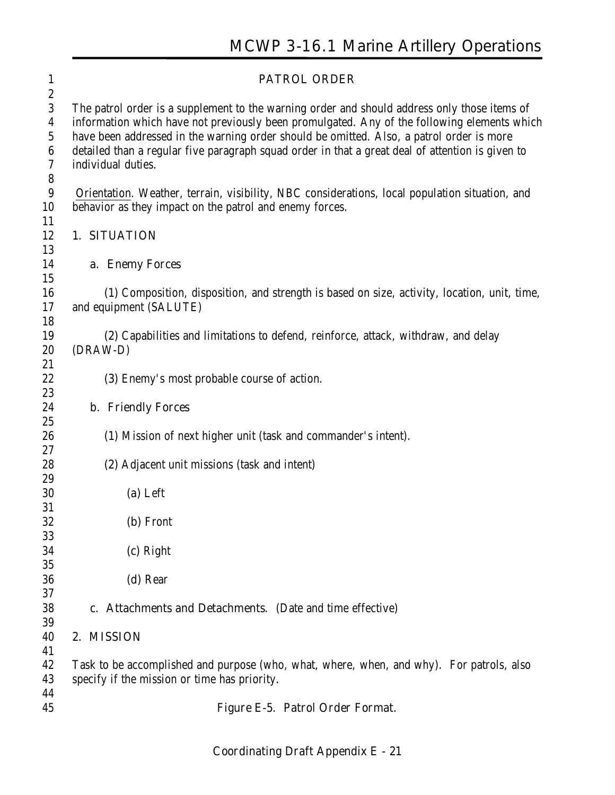| $\mathbf{1}$                                                      | <b>PATROL ORDER</b>                                                                                                                                                                                                                                                                                                                                                                                               |
|-------------------------------------------------------------------|-------------------------------------------------------------------------------------------------------------------------------------------------------------------------------------------------------------------------------------------------------------------------------------------------------------------------------------------------------------------------------------------------------------------|
| $\boldsymbol{2}$<br>$\boldsymbol{3}$<br>4<br>$\sqrt{5}$<br>6<br>7 | The patrol order is a supplement to the warning order and should address only those items of<br>information which have not previously been promulgated. Any of the following elements which<br>have been addressed in the warning order should be omitted. Also, a patrol order is more<br>detailed than a regular five paragraph squad order in that a great deal of attention is given to<br>individual duties. |
| 8<br>$\boldsymbol{9}$<br>10                                       | Orientation. Weather, terrain, visibility, NBC considerations, local population situation, and<br>behavior as they impact on the patrol and enemy forces.                                                                                                                                                                                                                                                         |
| 11<br>12                                                          | 1. SITUATION                                                                                                                                                                                                                                                                                                                                                                                                      |
| 13<br>14<br>15                                                    | a. Enemy Forces                                                                                                                                                                                                                                                                                                                                                                                                   |
| 16<br>17                                                          | (1) Composition, disposition, and strength is based on size, activity, location, unit, time,<br>and equipment (SALUTE)                                                                                                                                                                                                                                                                                            |
| 18<br>19<br>20                                                    | (2) Capabilities and limitations to defend, reinforce, attack, withdraw, and delay<br>(DRAW-D)                                                                                                                                                                                                                                                                                                                    |
| 21<br>22                                                          | (3) Enemy's most probable course of action.                                                                                                                                                                                                                                                                                                                                                                       |
| 23<br>24                                                          | <b>b.</b> Friendly Forces                                                                                                                                                                                                                                                                                                                                                                                         |
| 25<br>26<br>27                                                    | (1) Mission of next higher unit (task and commander's intent).                                                                                                                                                                                                                                                                                                                                                    |
| 28<br>29                                                          | (2) Adjacent unit missions (task and intent)                                                                                                                                                                                                                                                                                                                                                                      |
| 30                                                                | (a) Left                                                                                                                                                                                                                                                                                                                                                                                                          |
| 31<br>32                                                          | (b) Front                                                                                                                                                                                                                                                                                                                                                                                                         |
| 33<br>34                                                          | (c) Right                                                                                                                                                                                                                                                                                                                                                                                                         |
| 35<br>36<br>37                                                    | (d) Rear                                                                                                                                                                                                                                                                                                                                                                                                          |
| 38                                                                | c. Attachments and Detachments. (Date and time effective)                                                                                                                                                                                                                                                                                                                                                         |
| 39<br>40                                                          | 2. MISSION                                                                                                                                                                                                                                                                                                                                                                                                        |
| 41<br>42<br>43                                                    | Task to be accomplished and purpose (who, what, where, when, and why). For patrols, also<br>specify if the mission or time has priority.                                                                                                                                                                                                                                                                          |
| 44<br>45                                                          | Figure E-5. Patrol Order Format.                                                                                                                                                                                                                                                                                                                                                                                  |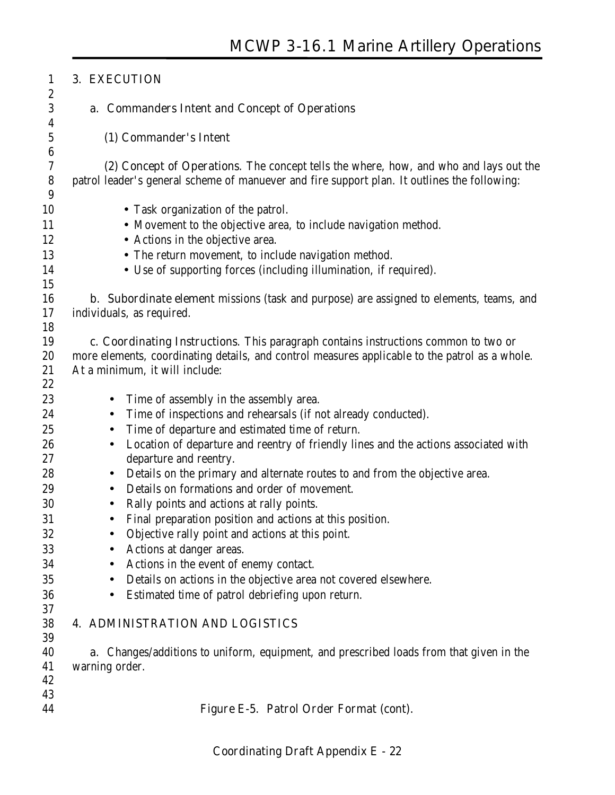| $\mathbf{1}$          | 3. EXECUTION                                                                                     |
|-----------------------|--------------------------------------------------------------------------------------------------|
| $\boldsymbol{2}$      |                                                                                                  |
| 3<br>$\boldsymbol{4}$ | a. Commanders Intent and Concept of Operations                                                   |
| 5                     | (1) Commander's Intent                                                                           |
| $\boldsymbol{6}$      |                                                                                                  |
| 7                     | (2) Concept of Operations. The concept tells the where, how, and who and lays out the            |
| 8<br>9                | patrol leader's general scheme of manuever and fire support plan. It outlines the following:     |
| 10                    | • Task organization of the patrol.                                                               |
| 11                    | • Movement to the objective area, to include navigation method.                                  |
| 12                    | • Actions in the objective area.                                                                 |
| 13                    | • The return movement, to include navigation method.                                             |
| 14                    | • Use of supporting forces (including illumination, if required).                                |
| 15                    |                                                                                                  |
| 16                    | <b>b.</b> Subordinate element missions (task and purpose) are assigned to elements, teams, and   |
| 17                    | individuals, as required.                                                                        |
| 18                    |                                                                                                  |
| 19                    | c. Coordinating Instructions. This paragraph contains instructions common to two or              |
| 20                    | more elements, coordinating details, and control measures applicable to the patrol as a whole.   |
| 21                    | At a minimum, it will include:                                                                   |
| 22                    |                                                                                                  |
| 23                    | Time of assembly in the assembly area.<br>$\bullet$                                              |
| 24                    | Time of inspections and rehearsals (if not already conducted).<br>$\bullet$                      |
| 25                    | Time of departure and estimated time of return.<br>$\bullet$                                     |
| 26                    | Location of departure and reentry of friendly lines and the actions associated with<br>$\bullet$ |
| 27                    | departure and reentry.                                                                           |
| 28                    | Details on the primary and alternate routes to and from the objective area.<br>$\bullet$         |
| 29                    | Details on formations and order of movement.<br>$\bullet$                                        |
| 30                    | Rally points and actions at rally points.<br>$\bullet$                                           |
| 31                    | Final preparation position and actions at this position.<br>$\bullet$                            |
| 32                    | Objective rally point and actions at this point.                                                 |
| 33                    | Actions at danger areas.                                                                         |
| 34                    | Actions in the event of enemy contact.<br>$\bullet$                                              |
| 35                    | Details on actions in the objective area not covered elsewhere.<br>$\bullet$                     |
| 36                    | Estimated time of patrol debriefing upon return.<br>$\bullet$                                    |
| 37                    |                                                                                                  |
| 38                    | <b>4. ADMINISTRATION AND LOGISTICS</b>                                                           |
| 39                    |                                                                                                  |
| 40                    | <b>a.</b> Changes/additions to uniform, equipment, and prescribed loads from that given in the   |
| 41                    | warning order.                                                                                   |
| 42                    |                                                                                                  |
| 43                    |                                                                                                  |
| 44                    | Figure E-5. Patrol Order Format (cont).                                                          |